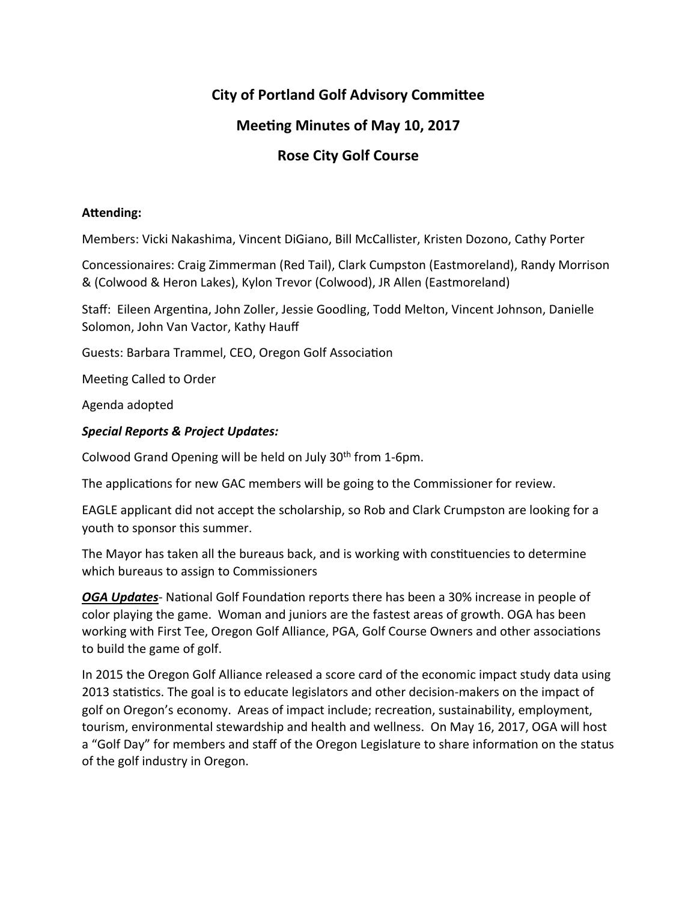# **City of Portland Golf Advisory Committee**

# **Meeting Minutes of May 10, 2017**

# **Rose City Golf Course**

## Attending:

Members: Vicki Nakashima, Vincent DiGiano, Bill McCallister, Kristen Dozono, Cathy Porter

Concessionaires: Craig Zimmerman (Red Tail), Clark Cumpston (Eastmoreland), Randy Morrison & (Colwood & Heron Lakes), Kylon Trevor (Colwood), JR Allen (Eastmoreland)

Staff: Eileen Argentina, John Zoller, Jessie Goodling, Todd Melton, Vincent Johnson, Danielle Solomon, John Van Vactor, Kathy Hauff

Guests: Barbara Trammel, CEO, Oregon Golf Association

Meeting Called to Order

Agenda adopted

## *Special Reports & Project Updates:*

Colwood Grand Opening will be held on July  $30<sup>th</sup>$  from 1-6pm.

The applications for new GAC members will be going to the Commissioner for review.

EAGLE applicant did not accept the scholarship, so Rob and Clark Crumpston are looking for a youth to sponsor this summer.

The Mayor has taken all the bureaus back, and is working with constituencies to determine which bureaus to assign to Commissioners

**OGA Updates**- National Golf Foundation reports there has been a 30% increase in people of color playing the game. Woman and juniors are the fastest areas of growth. OGA has been working with First Tee, Oregon Golf Alliance, PGA, Golf Course Owners and other associations to build the game of golf.

In 2015 the Oregon Golf Alliance released a score card of the economic impact study data using 2013 statistics. The goal is to educate legislators and other decision-makers on the impact of golf on Oregon's economy. Areas of impact include; recreation, sustainability, employment, tourism, environmental stewardship and health and wellness. On May 16, 2017, OGA will host a "Golf Day" for members and staff of the Oregon Legislature to share information on the status of the golf industry in Oregon.